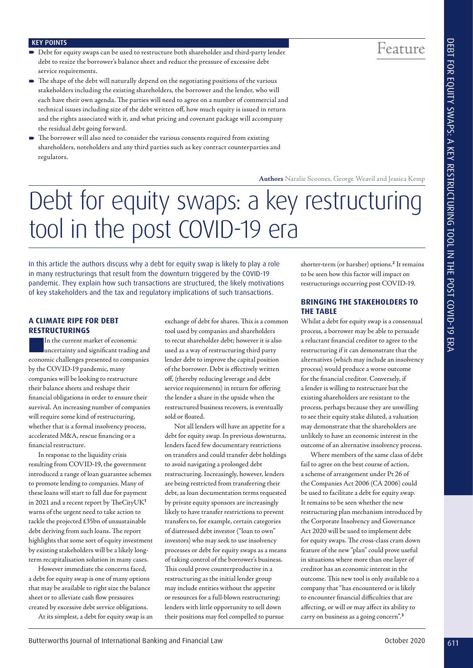Feature

#### KEY POINTS

- Debt for equity swaps can be used to restructure both shareholder and third-party lender debt to resize the borrower's balance sheet and reduce the pressure of excessive debt service requirements.
- The shape of the debt will naturally depend on the negotiating positions of the various stakeholders including the existing shareholders, the borrower and the lender, who will each have their own agenda. The parties will need to agree on a number of commercial and technical issues including size of the debt written off, how much equity is issued in return and the rights associated with it, and what pricing and covenant package will accompany the residual debt going forward.
- The borrower will also need to consider the various consents required from existing shareholders, noteholders and any third parties such as key contract counterparties and regulators.

**Authors** Natalie Scoones, George Weavil and Jessica Kemp

# Debt for equity swaps: a key restructuring tool in the post COVID-19 era

In this article the authors discuss why a debt for equity swap is likely to play a role in many restructurings that result from the downturn triggered by the COVID-19 pandemic. They explain how such transactions are structured, the likely motivations of key stakeholders and the tax and regulatory implications of such transactions.

#### **A CLIMATE RIPE FOR DEBT RESTRUCTURINGS**

In the current market of economic<br>uncertainty and significant trading and economic challenges presented to companies by the COVID-19 pandemic, many companies will be looking to restructure their balance sheets and reshape their financial obligations in order to ensure their survival. An increasing number of companies will require some kind of restructuring, whether that is a formal insolvency process, accelerated M&A, rescue financing or a financial restructure.

In response to the liquidity crisis resulting from COVID-19, the government introduced a range of loan guarantee schemes to promote lending to companies. Many of these loans will start to fall due for payment in 2021 and a recent report by TheCityUK**<sup>1</sup>** warns of the urgent need to take action to tackle the projected £35bn of unsustainable debt deriving from such loans. The report highlights that some sort of equity investment by existing stakeholders will be a likely longterm recapitalisation solution in many cases.

However immediate the concerns faced, a debt for equity swap is one of many options that may be available to right size the balance sheet or to alleviate cash flow pressures created by excessive debt service obligations.

At its simplest, a debt for equity swap is an

exchange of debt for shares. This is a common tool used by companies and shareholders to recut shareholder debt; however it is also used as a way of restructuring third party lender debt to improve the capital position of the borrower. Debt is effectively written off, (thereby reducing leverage and debt service requirements) in return for offering the lender a share in the upside when the restructured business recovers, is eventually sold or floated.

Not all lenders will have an appetite for a debt for equity swap. In previous downturns, lenders faced few documentary restrictions on transfers and could transfer debt holdings to avoid navigating a prolonged debt restructuring. Increasingly, however, lenders are being restricted from transferring their debt, as loan documentation terms requested by private equity sponsors are increasingly likely to have transfer restrictions to prevent transfers to, for example, certain categories of distressed debt investor ("loan to own" investors) who may seek to use insolvency processes or debt for equity swaps as a means of taking control of the borrower's business. This could prove counterproductive in a restructuring as the initial lender group may include entities without the appetite or resources for a full-blown restructuring; lenders with little opportunity to sell down their positions may feel compelled to pursue EFFECTIVE CONTROL IS a consider the control of International Banking and The Control of International Case of International Case of International Case of International Case of International Case of International Banking a

shorter-term (or harsher) options.**<sup>2</sup>** It remains to be seen how this factor will impact on restructurings occurring post COVID-19.

#### **BRINGING THE STAKEHOLDERS TO THE TABLE**

Whilst a debt for equity swap is a consensual process, a borrower may be able to persuade a reluctant financial creditor to agree to the restructuring if it can demonstrate that the alternatives (which may include an insolvency process) would produce a worse outcome for the financial creditor. Conversely, if a lender is willing to restructure but the existing shareholders are resistant to the process, perhaps because they are unwilling to see their equity stake diluted, a valuation may demonstrate that the shareholders are unlikely to have an economic interest in the outcome of an alternative insolvency process.

Where members of the same class of debt fail to agree on the best course of action, a scheme of arrangement under Pt 26 of the Companies Act 2006 (CA 2006) could be used to facilitate a debt for equity swap. It remains to be seen whether the new restructuring plan mechanism introduced by the Corporate Insolvency and Governance Act 2020 will be used to implement debt for equity swaps. The cross-class cram down feature of the new "plan" could prove useful in situations where more than one layer of creditor has an economic interest in the outcome. This new tool is only available to a company that "has encountered or is likely to encounter financial difficulties that are affecting, or will or may affect its ability to carry on business as a going concern".**<sup>3</sup>**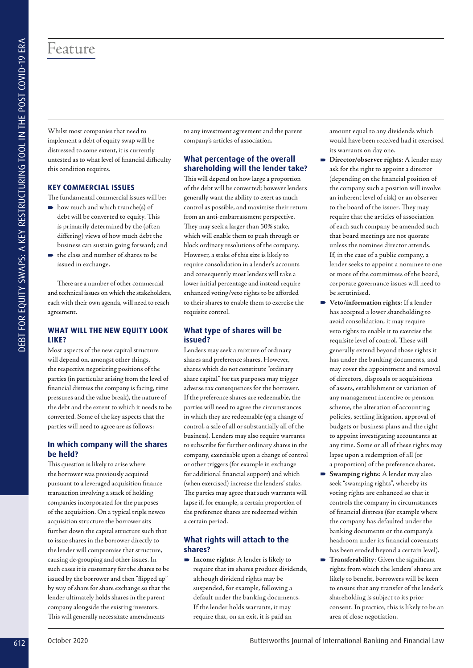# Feature

Whilst most companies that need to implement a debt of equity swap will be distressed to some extent, it is currently untested as to what level of financial difficulty this condition requires.

#### **KEY COMMERCIAL ISSUES**

The fundamental commercial issues will be:

- $\rightarrow$  how much and which tranche(s) of debt will be converted to equity. This is primarily determined by the (often differing) views of how much debt the business can sustain going forward; and
- $\rightarrow$  the class and number of shares to be issued in exchange.

There are a number of other commercial and technical issues on which the stakeholders, each with their own agenda, will need to reach agreement.

### **WHAT WILL THE NEW EQUITY LOOK LIKE?**

Most aspects of the new capital structure will depend on, amongst other things, the respective negotiating positions of the parties (in particular arising from the level of financial distress the company is facing, time pressures and the value break), the nature of the debt and the extent to which it needs to be converted. Some of the key aspects that the parties will need to agree are as follows:

#### **In which company will the shares be held?**

This question is likely to arise where the borrower was previously acquired pursuant to a leveraged acquisition finance transaction involving a stack of holding companies incorporated for the purposes of the acquisition. On a typical triple newco acquisition structure the borrower sits further down the capital structure such that to issue shares in the borrower directly to the lender will compromise that structure, causing de-grouping and other issues. In such cases it is customary for the shares to be issued by the borrower and then "flipped up" by way of share for share exchange so that the lender ultimately holds shares in the parent company alongside the existing investors. This will generally necessitate amendments

to any investment agreement and the parent company's articles of association.

## **What percentage of the overall shareholding will the lender take?**

This will depend on how large a proportion of the debt will be converted; however lenders generally want the ability to exert as much control as possible, and maximise their return from an anti-embarrassment perspective. They may seek a larger than 50% stake, which will enable them to push through or block ordinary resolutions of the company. However, a stake of this size is likely to require consolidation in a lender's accounts and consequently most lenders will take a lower initial percentage and instead require enhanced voting/veto rights to be afforded to their shares to enable them to exercise the requisite control.

### **What type of shares will be issued?**

Lenders may seek a mixture of ordinary shares and preference shares. However, shares which do not constitute "ordinary share capital" for tax purposes may trigger adverse tax consequences for the borrower. If the preference shares are redeemable, the parties will need to agree the circumstances in which they are redeemable (eg a change of control, a sale of all or substantially all of the business). Lenders may also require warrants to subscribe for further ordinary shares in the company, exercisable upon a change of control or other triggers (for example in exchange for additional financial support) and which (when exercised) increase the lenders' stake. The parties may agree that such warrants will lapse if, for example, a certain proportion of the preference shares are redeemed within a certain period. **EXAMELE SE SE EXAMELE SE ENCORE DE CONFERENCE EN CONFERENCE EN CONFERENCE EN CONFERENCE EN CONFERENCE EN CONFERENCE EN CONFERENCE EN CONFERENCE EN CONFERENCE EN CONFERENCE EN CONFERENCE EN CONFERENCE EN CONFERENCE EN CO** 

#### **What rights will attach to the shares?**

 **Income rights**: A lender is likely to require that its shares produce dividends, although dividend rights may be suspended, for example, following a default under the banking documents. If the lender holds warrants, it may require that, on an exit, it is paid an

amount equal to any dividends which would have been received had it exercised its warrants on day one.

- **Director/observer rights**: A lender may ask for the right to appoint a director (depending on the financial position of the company such a position will involve an inherent level of risk) or an observer to the board of the issuer. They may require that the articles of association of each such company be amended such that board meetings are not quorate unless the nominee director attends. If, in the case of a public company, a lender seeks to appoint a nominee to one or more of the committees of the board, corporate governance issues will need to be scrutinised.
- **Veto/information rights**: If a lender has accepted a lower shareholding to avoid consolidation, it may require veto rights to enable it to exercise the requisite level of control. These will generally extend beyond those rights it has under the banking documents, and may cover the appointment and removal of directors, disposals or acquisitions of assets, establishment or variation of any management incentive or pension scheme, the alteration of accounting policies, settling litigation, approval of budgets or business plans and the right to appoint investigating accountants at any time. Some or all of these rights may lapse upon a redemption of all (or a proportion) of the preference shares.
- **Swamping rights**: A lender may also seek "swamping rights", whereby its voting rights are enhanced so that it controls the company in circumstances of financial distress (for example where the company has defaulted under the banking documents or the company's headroom under its financial covenants has been eroded beyond a certain level).
- **Transferability**: Given the significant rights from which the lenders' shares are likely to benefit, borrowers will be keen to ensure that any transfer of the lender's shareholding is subject to its prior consent. In practice, this is likely to be an area of close negotiation.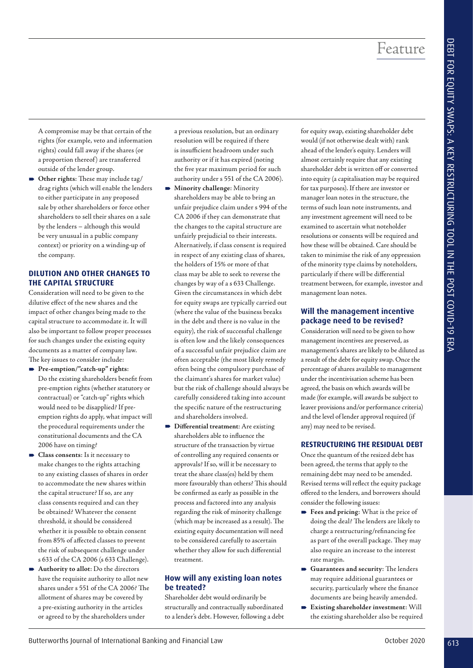A compromise may be that certain of the rights (for example, veto and information rights) could fall away if the shares (or a proportion thereof) are transferred outside of the lender group.

 **Other rights**: These may include tag/ drag rights (which will enable the lenders to either participate in any proposed sale by other shareholders or force other shareholders to sell their shares on a sale by the lenders – although this would be very unusual in a public company context) or priority on a winding-up of the company.

# **DILUTION AND OTHER CHANGES TO THE CAPITAL STRUCTURE**

Consideration will need to be given to the dilutive effect of the new shares and the impact of other changes being made to the capital structure to accommodate it. It will also be important to follow proper processes for such changes under the existing equity documents as a matter of company law. The key issues to consider include:

- **Pre-emption/"catch-up" rights**: Do the existing shareholders benefit from pre-emption rights (whether statutory or contractual) or "catch-up" rights which would need to be disapplied? If preemption rights do apply, what impact will the procedural requirements under the constitutional documents and the CA 2006 have on timing?
- **Class consents**: Is it necessary to make changes to the rights attaching to any existing classes of shares in order to accommodate the new shares within the capital structure? If so, are any class consents required and can they be obtained? Whatever the consent threshold, it should be considered whether it is possible to obtain consent from 85% of affected classes to prevent the risk of subsequent challenge under s 633 of the CA 2006 (s 633 Challenge).
- **Authority to allot**: Do the directors have the requisite authority to allot new shares under s 551 of the CA 2006? The allotment of shares may be covered by a pre-existing authority in the articles or agreed to by the shareholders under

a previous resolution, but an ordinary resolution will be required if there is insufficient headroom under such authority or if it has expired (noting the five year maximum period for such authority under s 551 of the CA 2006).

- **Minority challenge**: Minority shareholders may be able to bring an unfair prejudice claim under s 994 of the CA 2006 if they can demonstrate that the changes to the capital structure are unfairly prejudicial to their interests. Alternatively, if class consent is required in respect of any existing class of shares, the holders of 15% or more of that class may be able to seek to reverse the changes by way of a s 633 Challenge. Given the circumstances in which debt for equity swaps are typically carried out (where the value of the business breaks in the debt and there is no value in the equity), the risk of successful challenge is often low and the likely consequences of a successful unfair prejudice claim are often acceptable (the most likely remedy often being the compulsory purchase of the claimant's shares for market value) but the risk of challenge should always be carefully considered taking into account the specific nature of the restructuring and shareholders involved. From the state of the spectra state of the spectra state of the spectra state of the spectra state of the spectra state of the spectra state of the spectra state of the spectra state of the spectra state of the spectra st
	- **Differential treatment***:* Are existing shareholders able to influence the structure of the transaction by virtue of controlling any required consents or approvals? If so, will it be necessary to treat the share class(es) held by them more favourably than others? This should be confirmed as early as possible in the process and factored into any analysis regarding the risk of minority challenge (which may be increased as a result). The existing equity documentation will need to be considered carefully to ascertain whether they allow for such differential treatment.

# **How will any existing loan notes be treated?**

Shareholder debt would ordinarily be structurally and contractually subordinated to a lender's debt. However, following a debt for equity swap, existing shareholder debt would (if not otherwise dealt with) rank ahead of the lender's equity. Lenders will almost certainly require that any existing shareholder debt is written off or converted into equity (a capitalisation may be required for tax purposes). If there are investor or manager loan notes in the structure, the terms of such loan note instruments, and any investment agreement will need to be examined to ascertain what noteholder resolutions or consents will be required and how these will be obtained. Care should be taken to minimise the risk of any oppression of the minority type claims by noteholders, particularly if there will be differential treatment between, for example, investor and management loan notes.

# **Will the management incentive package need to be revised?**

Consideration will need to be given to how management incentives are preserved, as management's shares are likely to be diluted as a result of the debt for equity swap. Once the percentage of shares available to management under the incentivisation scheme has been agreed, the basis on which awards will be made (for example, will awards be subject to leaver provisions and/or performance criteria) and the level of lender approval required (if any) may need to be revised.

## **RESTRUCTURING THE RESIDUAL DEBT**

Once the quantum of the resized debt has been agreed, the terms that apply to the remaining debt may need to be amended. Revised terms will reflect the equity package offered to the lenders, and borrowers should consider the following issues:

- **Fees and pricing:** What is the price of doing the deal? The lenders are likely to charge a restructuring/refinancing fee as part of the overall package. They may also require an increase to the interest rate margin.
- **Guarantees and security**: The lenders may require additional guarantees or security, particularly where the finance documents are being heavily amended.
- **Existing shareholder investment**: Will the existing shareholder also be required